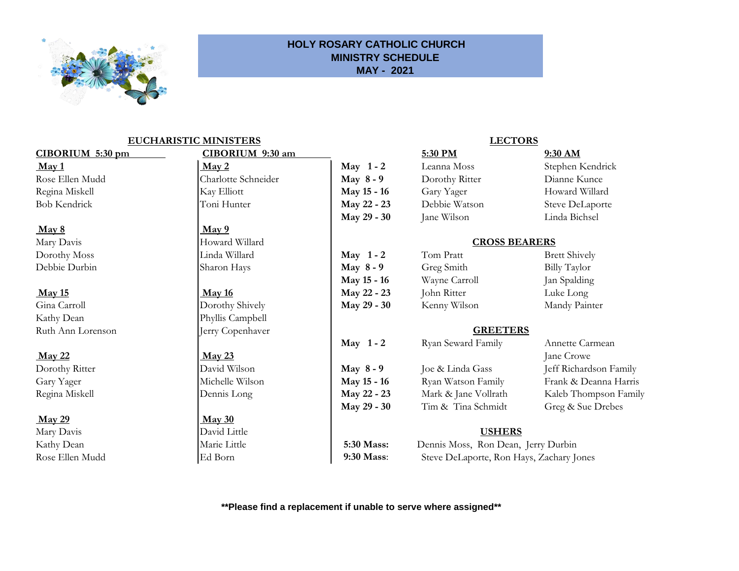

## **HOLY ROSARY CATHOLIC CHURCH MINISTRY SCHEDULE MAY - 2021**

## **EUCHARISTIC MINISTERS**

## **May 29 May 30**

Mary Davis **USHERS** 

# Rose Ellen Mudd Charlotte Schneider **May 8 - 9** Dorothy R **CIBORIUM 5:30 pm CIBORIUM 9:30 am**

## **May 8** May 9

Regina Miskell **Dennis Long May 22 - 23** Mark & Jane Vollrath Kaleb Thompson Family

| May $1 - 2$ |
|-------------|
| May 8-9     |
| May 15 - 16 |
| May 22 - 23 |
| May 29 - 30 |
|             |

**May 1 - 2** Ryan Sewa

**May 29 - 30** Tim & Tina Schmidt Greg & Sue Drebes

Kathy Dean Marie Little **5:30 Mass:** Dennis Moss, Ron Dean, Jerry Durbin Rose Ellen Mudd Ed Born **19:30 Mass**: Steve DeLaporte, Ron Hays, Zachary Jones

## **\*\*Please find a replacement if unable to serve where assigned\*\***

## **LECTORS**

| $CIBORIUM$ 5:30 pm              | CIBORIUM 9:30 am                      |                      | 5:30 PM            | 9:30 AM                |
|---------------------------------|---------------------------------------|----------------------|--------------------|------------------------|
| $\frac{\text{May 1}}{\text{1}}$ | $\frac{\text{May } 2}{\text{May } 2}$ | May 1-2              | Leanna Moss        | Stephen Kendrick       |
| Rose Ellen Mudd                 | Charlotte Schneider                   | May $8 - 9$          | Dorothy Ritter     | Dianne Kunce           |
| Regina Miskell                  | Kay Elliott                           | May 15 - 16          | Gary Yager         | Howard Willard         |
| <b>Bob Kendrick</b>             | Toni Hunter                           | May 22 - 23          | Debbie Watson      | Steve DeLaporte        |
|                                 |                                       | May 29 - 30          | Jane Wilson        | Linda Bichsel          |
| May 8                           | $\frac{\text{May } 9}{\text{My } 2}$  |                      |                    |                        |
| Mary Davis                      | Howard Willard                        | <b>CROSS BEARERS</b> |                    |                        |
| Dorothy Moss                    | Linda Willard                         | May $1 - 2$          | Tom Pratt          | <b>Brett Shively</b>   |
| Debbie Durbin                   | Sharon Hays                           | May $8 - 9$          | Greg Smith         | Billy Taylor           |
|                                 |                                       | May 15 - 16          | Wayne Carroll      | Jan Spalding           |
| <b>May 15</b>                   | <b>May 16</b>                         | May 22 - 23          | John Ritter        | Luke Long              |
| Gina Carroll                    | Dorothy Shively                       | May 29 - 30          | Kenny Wilson       | Mandy Painter          |
| Kathy Dean                      | Phyllis Campbell                      |                      |                    |                        |
| Ruth Ann Lorenson               | Jerry Copenhaver                      | <b>GREETERS</b>      |                    |                        |
|                                 |                                       | May $1 - 2$          | Ryan Seward Family | Annette Carmean        |
| <b>May 22</b>                   | $\frac{\text{May }23}{\text{My }23}$  |                      |                    | Jane Crowe             |
| Dorothy Ritter                  | David Wilson                          | May $8-9$            | Joe & Linda Gass   | Jeff Richardson Family |
| Gary Yager                      | Michelle Wilson                       | May 15 - 16          | Ryan Watson Family | Frank & Deanna Harris  |
|                                 |                                       |                      |                    |                        |